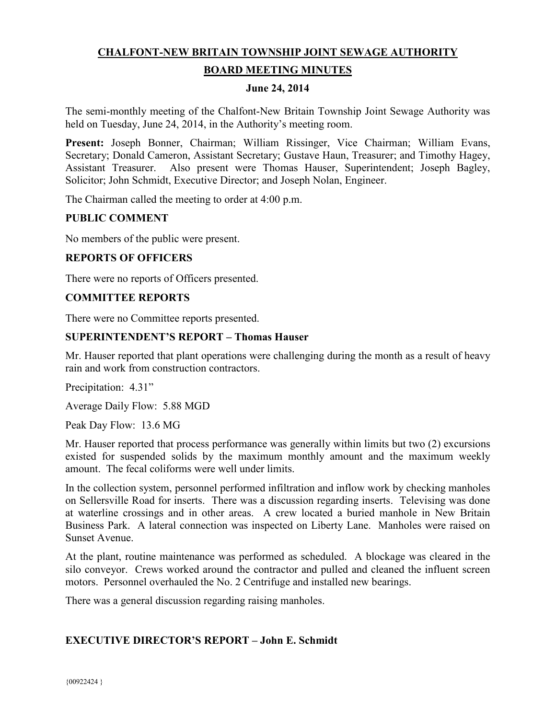# **CHALFONT-NEW BRITAIN TOWNSHIP JOINT SEWAGE AUTHORITY**

# **BOARD MEETING MINUTES**

#### **June 24, 2014**

The semi-monthly meeting of the Chalfont-New Britain Township Joint Sewage Authority was held on Tuesday, June 24, 2014, in the Authority's meeting room.

**Present:** Joseph Bonner, Chairman; William Rissinger, Vice Chairman; William Evans, Secretary; Donald Cameron, Assistant Secretary; Gustave Haun, Treasurer; and Timothy Hagey, Assistant Treasurer. Also present were Thomas Hauser, Superintendent; Joseph Bagley, Solicitor; John Schmidt, Executive Director; and Joseph Nolan, Engineer.

The Chairman called the meeting to order at 4:00 p.m.

## **PUBLIC COMMENT**

No members of the public were present.

## **REPORTS OF OFFICERS**

There were no reports of Officers presented.

#### **COMMITTEE REPORTS**

There were no Committee reports presented.

## **SUPERINTENDENT'S REPORT – Thomas Hauser**

Mr. Hauser reported that plant operations were challenging during the month as a result of heavy rain and work from construction contractors.

Precipitation: 4.31"

Average Daily Flow: 5.88 MGD

Peak Day Flow: 13.6 MG

Mr. Hauser reported that process performance was generally within limits but two (2) excursions existed for suspended solids by the maximum monthly amount and the maximum weekly amount. The fecal coliforms were well under limits.

In the collection system, personnel performed infiltration and inflow work by checking manholes on Sellersville Road for inserts. There was a discussion regarding inserts. Televising was done at waterline crossings and in other areas. A crew located a buried manhole in New Britain Business Park. A lateral connection was inspected on Liberty Lane. Manholes were raised on Sunset Avenue.

At the plant, routine maintenance was performed as scheduled. A blockage was cleared in the silo conveyor. Crews worked around the contractor and pulled and cleaned the influent screen motors. Personnel overhauled the No. 2 Centrifuge and installed new bearings.

There was a general discussion regarding raising manholes.

## **EXECUTIVE DIRECTOR'S REPORT – John E. Schmidt**